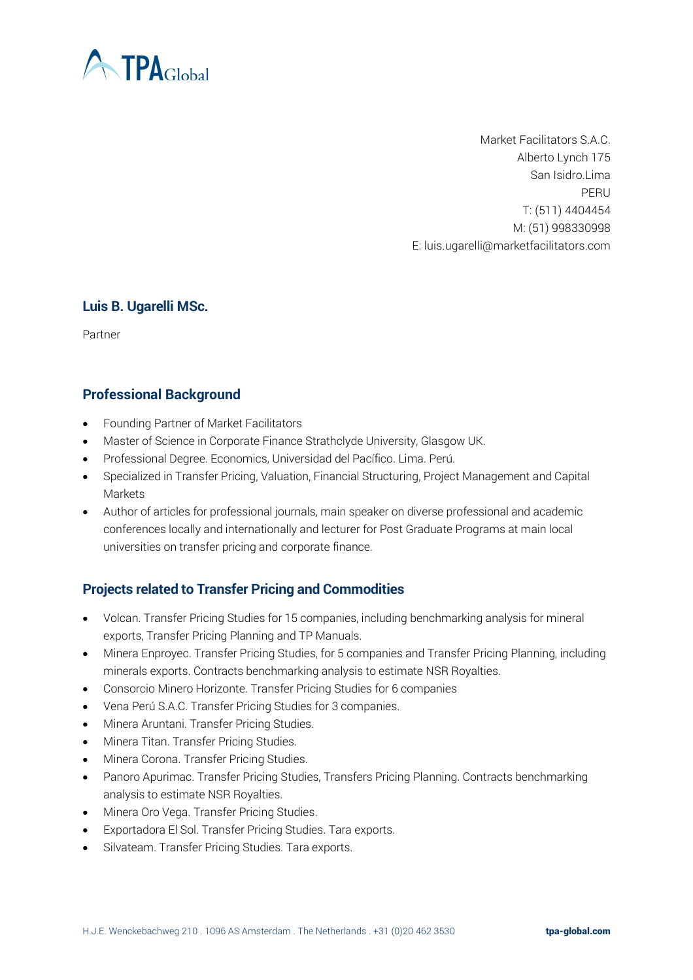

Market Facilitators S.A.C. Alberto Lynch 175 San Isidro.Lima PERU T: (511) 4404454 M: (51) 998330998 E: luis.ugarelli@marketfacilitators.com

#### **Luis B. Ugarelli MSc.**

Partner

## **Professional Background**

- Founding Partner of Market Facilitators
- Master of Science in Corporate Finance Strathclyde University, Glasgow UK.
- Professional Degree. Economics, Universidad del Pacífico. Lima. Perú.
- Specialized in Transfer Pricing, Valuation, Financial Structuring, Project Management and Capital Markets
- Author of articles for professional journals, main speaker on diverse professional and academic conferences locally and internationally and lecturer for Post Graduate Programs at main local universities on transfer pricing and corporate finance.

# **Projects related to Transfer Pricing and Commodities**

- Volcan. Transfer Pricing Studies for 15 companies, including benchmarking analysis for mineral exports, Transfer Pricing Planning and TP Manuals.
- Minera Enproyec. Transfer Pricing Studies, for 5 companies and Transfer Pricing Planning, including minerals exports. Contracts benchmarking analysis to estimate NSR Royalties.
- Consorcio Minero Horizonte. Transfer Pricing Studies for 6 companies
- Vena Perú S.A.C. Transfer Pricing Studies for 3 companies.
- Minera Aruntani. Transfer Pricing Studies.
- Minera Titan. Transfer Pricing Studies.
- Minera Corona. Transfer Pricing Studies.
- Panoro Apurimac. Transfer Pricing Studies, Transfers Pricing Planning. Contracts benchmarking analysis to estimate NSR Royalties.
- Minera Oro Vega. Transfer Pricing Studies.
- Exportadora El Sol. Transfer Pricing Studies. Tara exports.
- Silvateam. Transfer Pricing Studies. Tara exports.